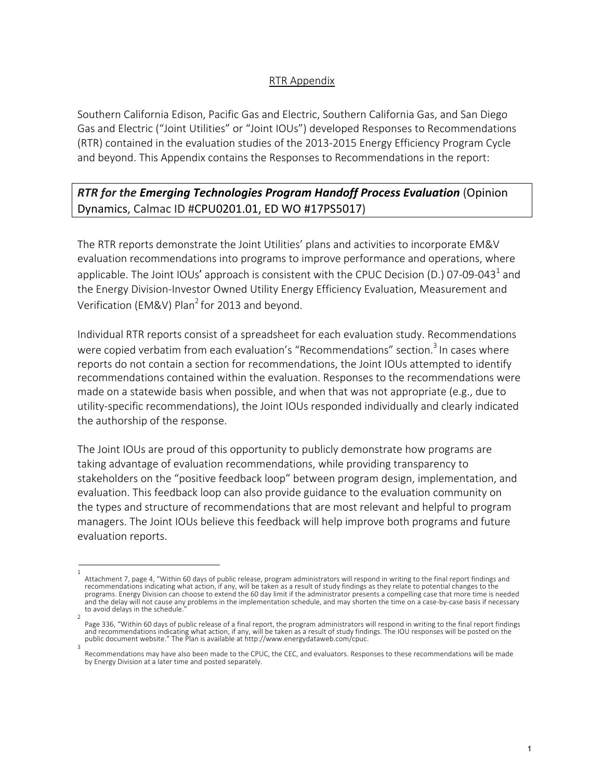## RTR Appendix

Southern California Edison, Pacific Gas and Electric, Southern California Gas, and San Diego Gas and Electric ("Joint Utilities" or "Joint IOUs") developed Responses to Recommendations (RTR) contained in the evaluation studies of the 2013-2015 Energy Efficiency Program Cycle and beyond. This Appendix contains the Responses to Recommendations in the report:

# *RTR for the Emerging Technologies Program Handoff Process Evaluation* (Opinion Dynamics, Calmac ID #CPU0201.01, ED WO #17PS5017)

The RTR reports demonstrate the Joint Utilities' plans and activities to incorporate EM&V evaluation recommendations into programs to improve performance and operations, where applicable. The Joint IOUs' approach is consistent with the CPUC Decision (D.) 07-09-043<sup>1</sup> and the Energy Division-Investor Owned Utility Energy Efficiency Evaluation, Measurement and Verification (EM&V) Plan<sup>2</sup> for 2013 and beyond.

Individual RTR reports consist of a spreadsheet for each evaluation study. Recommendations were copied verbatim from each evaluation's "Recommendations" section.<sup>3</sup> In cases where reports do not contain a section for recommendations, the Joint IOUs attempted to identify recommendations contained within the evaluation. Responses to the recommendations were made on a statewide basis when possible, and when that was not appropriate (e.g., due to utility-specific recommendations), the Joint IOUs responded individually and clearly indicated the authorship of the response.

The Joint IOUs are proud of this opportunity to publicly demonstrate how programs are taking advantage of evaluation recommendations, while providing transparency to stakeholders on the "positive feedback loop" between program design, implementation, and evaluation. This feedback loop can also provide guidance to the evaluation community on the types and structure of recommendations that are most relevant and helpful to program managers. The Joint IOUs believe this feedback will help improve both programs and future evaluation reports.

<sup>1</sup>  Attachment 7, page 4, "Within 60 days of public release, program administrators will respond in writing to the final report findings and recommendations indicating what action, if any, will be taken as a result of study findings as they relate to potential changes to the programs. Energy Division can choose to extend the 60 day limit if the administrator presents a compelling case that more time is needed and the delay will not cause any problems in the implementation schedule, and may shorten the time on a case-by-case basis if necessary to avoid delays in the schedule.

<sup>2</sup>  Page 336, "Within 60 days of public release of a final report, the program administrators will respond in writing to the final report findings and recommendations indicating what action, if any, will be taken as a result of study findings. The IOU responses will be posted on the public document website." The Plan is available at http://www.energydataweb.com/cpuc. 3

Recommendations may have also been made to the CPUC, the CEC, and evaluators. Responses to these recommendations will be made by Energy Division at a later time and posted separately.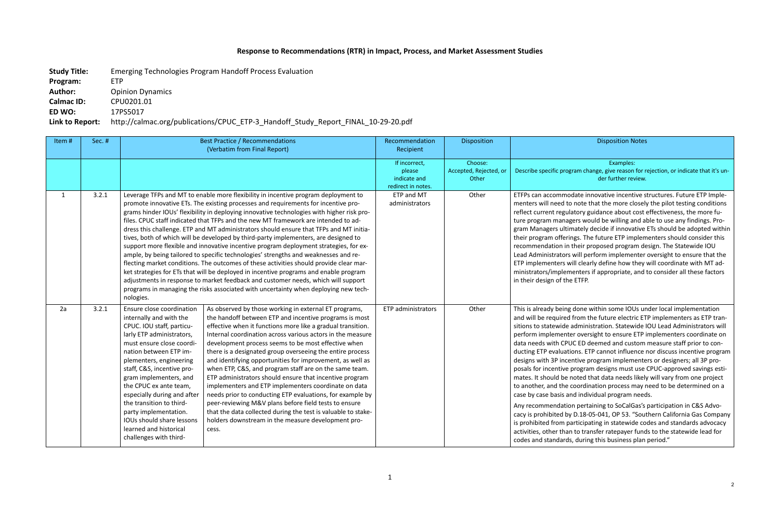## **Response to Recommendations (RTR) in Impact, Process, and Market Assessment Studies**

**Study Title:** Emerging Technologies Program Handoff Process Evaluation

**Program:** ETP

Author: Opinion Dynamics

**Calmac ID:** CPU0201.01

**ED WO:** 17PS5017

## **Link to Report:** http://calmac.org/publications/CPUC\_ETP-3\_Handoff\_Study\_Report\_FINAL\_10-29-20.pdf

am change, give reason for rejection, or indicate that it's under further review.

late innovative incentive structures. Future ETP Implenote that the more closely the pilot testing conditions atory guidance about cost effectiveness, the more fuers would be willing and able to use any findings. Proately decide if innovative ETs should be adopted within gs. The future ETP implementers should consider this rheir proposed program design. The Statewide IOU will perform implementer oversight to ensure that the Il clearly define how they will coordinate with MT adenters if appropriate, and to consider all these factors ETFP.

done within some IOUs under local implementation from the future electric ETP implementers as ETP trandministration. Statewide IOU Lead Administrators will r oversight to ensure ETP implementers coordinate on IC ED deemed and custom measure staff prior to conons. ETP cannot influence nor discuss incentive program tive program implementers or designers; all 3P proprogram designs must use CPUC-approved savings estinoted that data needs likely will vary from one project to and the coordination process may need to be determined on a d individual program needs.

pertaining to SoCalGas's participation in C&S Advo-D.18-05-041, OP 53. "Southern California Gas Company rticipating in statewide codes and standards advocacy to transfer ratepayer funds to the statewide lead for during this business plan period."

### Disposition Disposition Notes

#### Examples:

| Item#        | Sec. # |                                                                                                                                                                                                                                                                                                                                                                                                                                                         | <b>Best Practice / Recommendations</b><br>(Verbatim from Final Report)                                                                                                                                                                                                                                                                                                                                                                                                                                                                                                                                                                                                                                                                                                                                                                                                                                                                                                                                                                                                                      | Recommendation<br>Recipient                                   | Disposition                                |                                                                                                                                                                                                                                                                                                                                                                                                         |
|--------------|--------|---------------------------------------------------------------------------------------------------------------------------------------------------------------------------------------------------------------------------------------------------------------------------------------------------------------------------------------------------------------------------------------------------------------------------------------------------------|---------------------------------------------------------------------------------------------------------------------------------------------------------------------------------------------------------------------------------------------------------------------------------------------------------------------------------------------------------------------------------------------------------------------------------------------------------------------------------------------------------------------------------------------------------------------------------------------------------------------------------------------------------------------------------------------------------------------------------------------------------------------------------------------------------------------------------------------------------------------------------------------------------------------------------------------------------------------------------------------------------------------------------------------------------------------------------------------|---------------------------------------------------------------|--------------------------------------------|---------------------------------------------------------------------------------------------------------------------------------------------------------------------------------------------------------------------------------------------------------------------------------------------------------------------------------------------------------------------------------------------------------|
|              |        |                                                                                                                                                                                                                                                                                                                                                                                                                                                         |                                                                                                                                                                                                                                                                                                                                                                                                                                                                                                                                                                                                                                                                                                                                                                                                                                                                                                                                                                                                                                                                                             | If incorrect,<br>please<br>indicate and<br>redirect in notes. | Choose:<br>Accepted, Rejected, or<br>Other | Describe specific progr                                                                                                                                                                                                                                                                                                                                                                                 |
| $\mathbf{1}$ | 3.2.1  | nologies.                                                                                                                                                                                                                                                                                                                                                                                                                                               | Leverage TFPs and MT to enable more flexibility in incentive program deployment to<br>promote innovative ETs. The existing processes and requirements for incentive pro-<br>grams hinder IOUs' flexibility in deploying innovative technologies with higher risk pro-<br>files. CPUC staff indicated that TFPs and the new MT framework are intended to ad-<br>dress this challenge. ETP and MT administrators should ensure that TFPs and MT initia-<br>tives, both of which will be developed by third-party implementers, are designed to<br>support more flexible and innovative incentive program deployment strategies, for ex-<br>ample, by being tailored to specific technologies' strengths and weaknesses and re-<br>flecting market conditions. The outcomes of these activities should provide clear mar-<br>ket strategies for ETs that will be deployed in incentive programs and enable program<br>adjustments in response to market feedback and customer needs, which will support<br>programs in managing the risks associated with uncertainty when deploying new tech- | ETP and MT<br>administrators                                  | Other                                      | ETFPs can accommod<br>menters will need to<br>reflect current regula<br>ture program manage<br>gram Managers ultim<br>their program offerin<br>recommendation in t<br>Lead Administrators \<br>ETP implementers wi<br>ministrators/impleme<br>in their design of the                                                                                                                                    |
| 2a           | 3.2.1  | Ensure close coordination<br>internally and with the<br>CPUC. IOU staff, particu-<br>larly ETP administrators,<br>must ensure close coordi-<br>nation between ETP im-<br>plementers, engineering<br>staff, C&S, incentive pro-<br>gram implementers, and<br>the CPUC ex ante team,<br>especially during and after<br>the transition to third-<br>party implementation.<br>IOUs should share lessons<br>learned and historical<br>challenges with third- | As observed by those working in external ET programs,<br>the handoff between ETP and incentive programs is most<br>effective when it functions more like a gradual transition.<br>Internal coordination across various actors in the measure<br>development process seems to be most effective when<br>there is a designated group overseeing the entire process<br>and identifying opportunities for improvement, as well as<br>when ETP, C&S, and program staff are on the same team.<br>ETP administrators should ensure that incentive program<br>implementers and ETP implementers coordinate on data<br>needs prior to conducting ETP evaluations, for example by<br>peer-reviewing M&V plans before field tests to ensure<br>that the data collected during the test is valuable to stake-<br>holders downstream in the measure development pro-<br>cess.                                                                                                                                                                                                                            | <b>ETP</b> administrators                                     | Other                                      | This is already being<br>and will be required f<br>sitions to statewide a<br>perform implemente<br>data needs with CPU<br>ducting ETP evaluatic<br>designs with 3P incer<br>posals for incentive p<br>mates. It should be n<br>to another, and the c<br>case by case basis an<br>Any recommendation<br>cacy is prohibited by<br>is prohibited from pa<br>activities, other than<br>codes and standards, |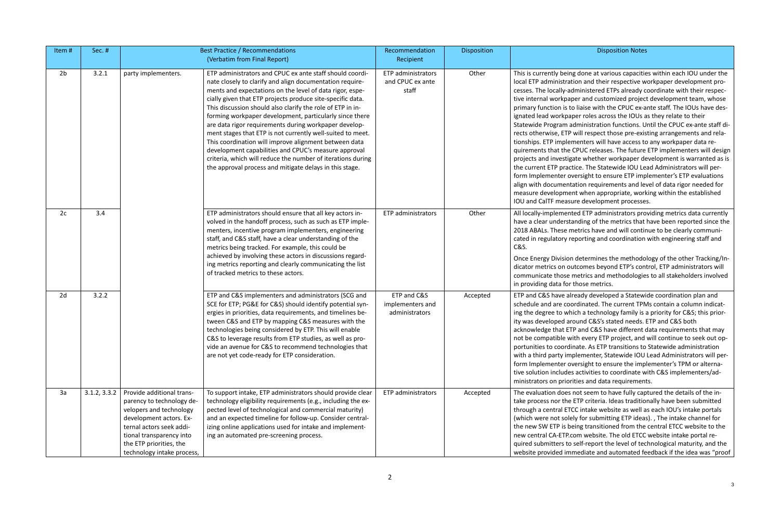### Disposition Disposition Notes

g done at various capacities within each IOU under the ion and their respective workpaper development pro-Iministered ETPs already coordinate with their respective indeprotomized project development team, whose liaise with the CPUC ex-ante staff. The IOUs have desber roles across the IOUs as they relate to their dministration functions. Until the CPUC ex-ante staff diwill respect those pre-existing arrangements and relanenters will have access to any workpaper data re-CPUC releases. The future ETP implementers will design ate whether workpaper development is warranted as is tice. The Statewide IOU Lead Administrators will perersight to ensure ETP implementer's ETP evaluations ation requirements and level of data rigor needed for nt when appropriate, working within the established ure development processes.

ted ETP administrators providing metrics data currently anding of the metrics that have been reported since the etrics have and will continue to be clearly communiporting and coordination with engineering staff and

determines the methodology of the other Tracking/Intcomes beyond ETP's control, ETP administrators will metrics and methodologies to all stakeholders involved those metrics.

ready developed a Statewide coordination plan and ordinated. The current TPMs contain a column indicatich a technology family is a priority for C&S; this prioround C&S's stated needs. ETP and C&S both TP and C&S have different data requirements that may ith every ETP project, and will continue to seek out opnate. As ETP transitions to Statewide administration plementer, Statewide IOU Lead Administrators will perrersight to ensure the implementer's TPM or alternaactivities to coordinate with C&S implementers/adities and data requirements.

not seem to have fully captured the details of the in-ETP criteria. Ideas traditionally have been submitted C intake website as well as each IOU's intake portals ly for submitting ETP ideas). , The intake channel for eing transitioned from the central ETCC website to the om website. The old ETCC website intake portal reself-report the level of technological maturity, and the mediate and automated feedback if the idea was "proof

| Item#          | Sec. #       |                                                                                                                                                                                                                               | <b>Best Practice / Recommendations</b>                                                                                                                                                                                                                                                                                                                                                                                                                                                                                                                                                                                                                                                                                                    | Recommendation                                    | Disposition |                                                                                                                                                                                                                                                                                                                                                                                                               |
|----------------|--------------|-------------------------------------------------------------------------------------------------------------------------------------------------------------------------------------------------------------------------------|-------------------------------------------------------------------------------------------------------------------------------------------------------------------------------------------------------------------------------------------------------------------------------------------------------------------------------------------------------------------------------------------------------------------------------------------------------------------------------------------------------------------------------------------------------------------------------------------------------------------------------------------------------------------------------------------------------------------------------------------|---------------------------------------------------|-------------|---------------------------------------------------------------------------------------------------------------------------------------------------------------------------------------------------------------------------------------------------------------------------------------------------------------------------------------------------------------------------------------------------------------|
|                |              |                                                                                                                                                                                                                               | (Verbatim from Final Report)                                                                                                                                                                                                                                                                                                                                                                                                                                                                                                                                                                                                                                                                                                              | Recipient                                         |             |                                                                                                                                                                                                                                                                                                                                                                                                               |
| 2 <sub>b</sub> | 3.2.1        | party implementers.                                                                                                                                                                                                           | ETP administrators and CPUC ex ante staff should coordi-<br>nate closely to clarify and align documentation require-<br>ments and expectations on the level of data rigor, espe-<br>cially given that ETP projects produce site-specific data.<br>This discussion should also clarify the role of ETP in in-<br>forming workpaper development, particularly since there<br>are data rigor requirements during workpaper develop-<br>ment stages that ETP is not currently well-suited to meet.<br>This coordination will improve alignment between data<br>development capabilities and CPUC's measure approval<br>criteria, which will reduce the number of iterations during<br>the approval process and mitigate delays in this stage. | ETP administrators<br>and CPUC ex ante<br>staff   | Other       | This is currently being<br>local ETP administrati<br>cesses. The locally-ad<br>tive internal workpap<br>primary function is to<br>ignated lead workpap<br>Statewide Program a<br>rects otherwise, ETP<br>tionships. ETP implen<br>quirements that the (<br>projects and investiga<br>the current ETP pract<br>form Implementer ov<br>align with documenta<br>measure developmer<br><b>IOU and CalTF measu</b> |
| 2c             | 3.4          |                                                                                                                                                                                                                               | ETP administrators should ensure that all key actors in-<br>volved in the handoff process, such as such as ETP imple-<br>menters, incentive program implementers, engineering<br>staff, and C&S staff, have a clear understanding of the<br>metrics being tracked. For example, this could be<br>achieved by involving these actors in discussions regard-<br>ing metrics reporting and clearly communicating the list<br>of tracked metrics to these actors.                                                                                                                                                                                                                                                                             | <b>ETP</b> administrators                         | Other       | All locally-implement<br>have a clear understa<br>2018 ABALs. These m<br>cated in regulatory re<br>C&S.<br><b>Once Energy Division</b><br>dicator metrics on ou<br>communicate those r<br>in providing data for t                                                                                                                                                                                             |
| 2d             | 3.2.2        |                                                                                                                                                                                                                               | ETP and C&S implementers and administrators (SCG and<br>SCE for ETP; PG&E for C&S) should identify potential syn-<br>ergies in priorities, data requirements, and timelines be-<br>tween C&S and ETP by mapping C&S measures with the<br>technologies being considered by ETP. This will enable<br>C&S to leverage results from ETP studies, as well as pro-<br>vide an avenue for C&S to recommend technologies that<br>are not yet code-ready for ETP consideration.                                                                                                                                                                                                                                                                    | ETP and C&S<br>implementers and<br>administrators | Accepted    | ETP and C&S have alr<br>schedule and are coo<br>ing the degree to whi<br>ity was developed ard<br>acknowledge that ET<br>not be compatible wi<br>portunities to coordin<br>with a third party imp<br>form Implementer ov<br>tive solution includes<br>ministrators on priori                                                                                                                                  |
| 3a             | 3.1.2, 3.3.2 | Provide additional trans-<br>parency to technology de-<br>velopers and technology<br>development actors. Ex-<br>ternal actors seek addi-<br>tional transparency into<br>the ETP priorities, the<br>technology intake process, | To support intake, ETP administrators should provide clear<br>technology eligibility requirements (e.g., including the ex-<br>pected level of technological and commercial maturity)<br>and an expected timeline for follow-up. Consider central-<br>izing online applications used for intake and implement-<br>ing an automated pre-screening process.                                                                                                                                                                                                                                                                                                                                                                                  | ETP administrators                                | Accepted    | The evaluation does i<br>take process nor the<br>through a central ETC<br>(which were not sole<br>the new SW ETP is be<br>new central CA-ETP.co<br>quired submitters to<br>website provided imr                                                                                                                                                                                                               |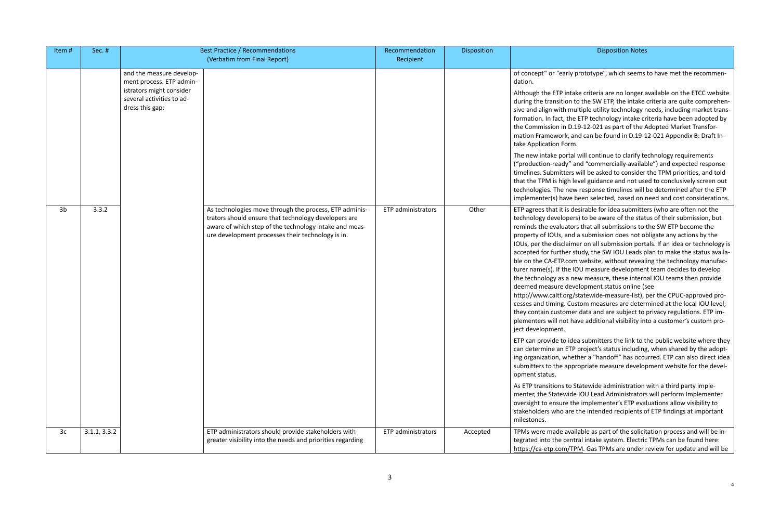### Disposition Disposition Notes

### prototype", which seems to have met the recommen-

ake criteria are no longer available on the ETCC website to the SW ETP, the intake criteria are quite comprehenultiple utility technology needs, including market transe ETP technology intake criteria have been adopted by 19-12-021 as part of the Adopted Market Transforand can be found in D.19-12-021 Appendix B: Draft In-

I will continue to clarify technology requirements and "commercially-available") and expected response will be asked to consider the TPM priorities, and told level guidance and not used to conclusively screen out w response timelines will be determined after the ETP been selected, based on need and cost considerations.

lesirable for idea submitters (who are often not the rs) to be aware of the status of their submission, but rs that all submissions to the SW ETP become the I a submission does not obligate any actions by the ner on all submission portals. If an idea or technology is study, the SW IOU Leads plan to make the status availam website, without revealing the technology manufac-IOU measure development team decides to develop tew measure, these internal IOU teams then provide elopment status online (see

/statewide-measure-list), per the CPUC-approved proistom measures are determined at the local IOU level; er data and are subject to privacy regulations. ETP imave additional visibility into a customer's custom pro-

ea submitters the link to the public website where they P project's status including, when shared by the adoptether a "handoff" has occurred. ETP can also direct idea oropriate measure development website for the devel-

Statewide administration with a third party implele IOU Lead Administrators will perform Implementer he implementer's ETP evaluations allow visibility to the intended recipients of ETP findings at important

illable as part of the solicitation process and will be intral intake system. Electric TPMs can be found here: PM. Gas TPMs are under review for update and will be

| Item#          | Sec. #       |                                                                                                                                  | <b>Best Practice / Recommendations</b><br>(Verbatim from Final Report)                                                                                                                                                        | Recommendation<br>Recipient | Disposition |                                                                                                                                                                                                                                                                                                                                                                                                                                                                                                                 |
|----------------|--------------|----------------------------------------------------------------------------------------------------------------------------------|-------------------------------------------------------------------------------------------------------------------------------------------------------------------------------------------------------------------------------|-----------------------------|-------------|-----------------------------------------------------------------------------------------------------------------------------------------------------------------------------------------------------------------------------------------------------------------------------------------------------------------------------------------------------------------------------------------------------------------------------------------------------------------------------------------------------------------|
|                |              | and the measure develop-<br>ment process. ETP admin-<br>istrators might consider<br>several activities to ad-<br>dress this gap: |                                                                                                                                                                                                                               |                             |             | of concept" or "early p<br>dation.<br>Although the ETP intak<br>during the transition to<br>sive and align with mul<br>formation. In fact, the I<br>the Commission in D.19<br>mation Framework, and<br>take Application Form.<br>The new intake portal v<br>("production-ready" ar<br>timelines. Submitters w<br>that the TPM is high lev<br>technologies. The new<br>implementer(s) have be                                                                                                                    |
| 3 <sub>b</sub> | 3.3.2        |                                                                                                                                  | As technologies move through the process, ETP adminis-<br>trators should ensure that technology developers are<br>aware of which step of the technology intake and meas-<br>ure development processes their technology is in. | ETP administrators          | Other       | ETP agrees that it is de:<br>technology developers<br>reminds the evaluators<br>property of IOUs, and a<br>IOUs, per the disclaime<br>accepted for further sti<br>ble on the CA-ETP.com<br>turer name(s). If the IO<br>the technology as a new<br>deemed measure deve<br>http://www.caltf.org/st<br>cesses and timing. Cust<br>they contain customer<br>plementers will not hav<br>ject development.<br>ETP can provide to idea<br>can determine an ETP p<br>ing organization, wheth<br>submitters to the appro |
|                |              |                                                                                                                                  |                                                                                                                                                                                                                               |                             |             | opment status.<br>As ETP transitions to St<br>menter, the Statewide<br>oversight to ensure the<br>stakeholders who are t<br>milestones.                                                                                                                                                                                                                                                                                                                                                                         |
| 3c             | 3.1.1, 3.3.2 |                                                                                                                                  | ETP administrators should provide stakeholders with<br>greater visibility into the needs and priorities regarding                                                                                                             | ETP administrators          | Accepted    | TPMs were made availa<br>tegrated into the centra<br>https://ca-etp.com/TPI                                                                                                                                                                                                                                                                                                                                                                                                                                     |